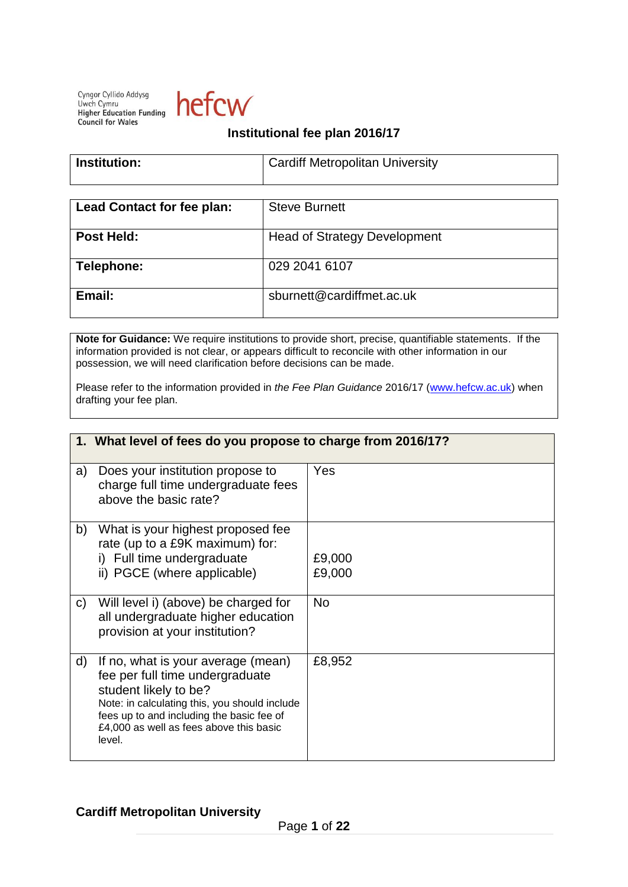Cyngor Cyllido Addysg Uwch Cymru **Uwch Cymru**<br>**Higher Education Funding Council for Wales** 



## **Institutional fee plan 2016/17**

| Institution: | <b>Cardiff Metropolitan University</b> |
|--------------|----------------------------------------|
|              |                                        |

| <b>Lead Contact for fee plan:</b> | <b>Steve Burnett</b>                |
|-----------------------------------|-------------------------------------|
| Post Held:                        | <b>Head of Strategy Development</b> |
| Telephone:                        | 029 2041 6107                       |
| Email:                            | sburnett@cardiffmet.ac.uk           |

**Note for Guidance:** We require institutions to provide short, precise, quantifiable statements. If the information provided is not clear, or appears difficult to reconcile with other information in our possession, we will need clarification before decisions can be made.

Please refer to the information provided in *the Fee Plan Guidance* 2016/17 [\(www.hefcw.ac.uk\)](http://www.hefcw.ac.uk/) when drafting your fee plan.

|    | 1. What level of fees do you propose to charge from 2016/17?                                                                                                                                                                                      |                  |  |
|----|---------------------------------------------------------------------------------------------------------------------------------------------------------------------------------------------------------------------------------------------------|------------------|--|
| a) | Does your institution propose to<br>charge full time undergraduate fees<br>above the basic rate?                                                                                                                                                  | Yes              |  |
| b) | What is your highest proposed fee<br>rate (up to a £9K maximum) for:<br>i) Full time undergraduate<br>ii) PGCE (where applicable)                                                                                                                 | £9,000<br>£9,000 |  |
| C) | Will level i) (above) be charged for<br>all undergraduate higher education<br>provision at your institution?                                                                                                                                      | N <sub>o</sub>   |  |
| d) | If no, what is your average (mean)<br>fee per full time undergraduate<br>student likely to be?<br>Note: in calculating this, you should include<br>fees up to and including the basic fee of<br>£4,000 as well as fees above this basic<br>level. | £8,952           |  |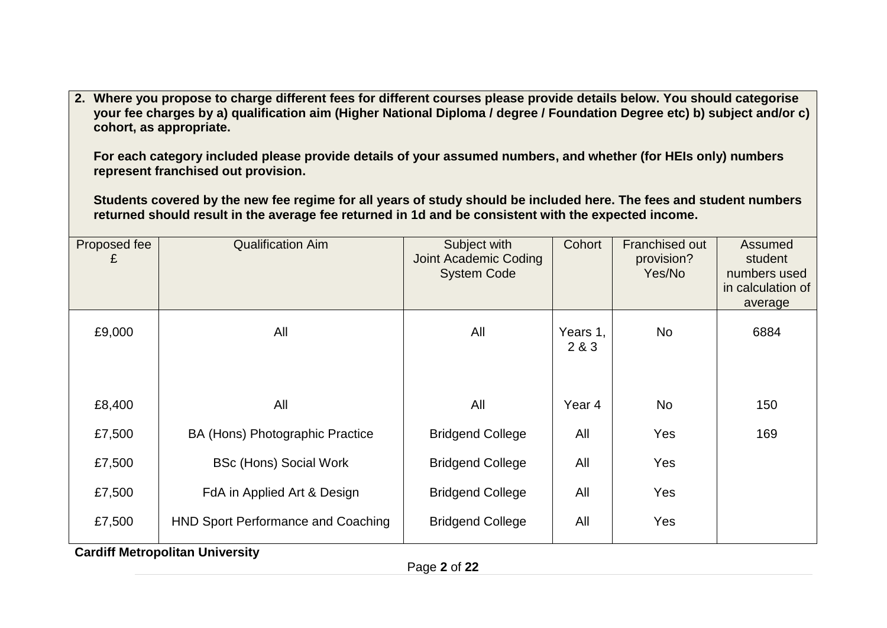**2. Where you propose to charge different fees for different courses please provide details below. You should categorise your fee charges by a) qualification aim (Higher National Diploma / degree / Foundation Degree etc) b) subject and/or c) cohort, as appropriate.** 

**For each category included please provide details of your assumed numbers, and whether (for HEIs only) numbers represent franchised out provision.**

**Students covered by the new fee regime for all years of study should be included here. The fees and student numbers returned should result in the average fee returned in 1d and be consistent with the expected income.**

| Proposed fee<br>£ | <b>Qualification Aim</b>                  | Subject with<br>Joint Academic Coding<br><b>System Code</b> | Cohort            | <b>Franchised out</b><br>provision?<br>Yes/No | Assumed<br>student<br>numbers used<br>in calculation of |
|-------------------|-------------------------------------------|-------------------------------------------------------------|-------------------|-----------------------------------------------|---------------------------------------------------------|
|                   |                                           |                                                             |                   |                                               | average                                                 |
| £9,000            | All                                       | All                                                         | Years 1,<br>2 & 3 | <b>No</b>                                     | 6884                                                    |
|                   |                                           |                                                             |                   |                                               |                                                         |
| £8,400            | All                                       | All                                                         | Year 4            | <b>No</b>                                     | 150                                                     |
| £7,500            | BA (Hons) Photographic Practice           | <b>Bridgend College</b>                                     | All               | Yes                                           | 169                                                     |
| £7,500            | <b>BSc (Hons) Social Work</b>             | <b>Bridgend College</b>                                     | All               | Yes                                           |                                                         |
| £7,500            | FdA in Applied Art & Design               | <b>Bridgend College</b>                                     | All               | Yes                                           |                                                         |
| £7,500            | <b>HND Sport Performance and Coaching</b> | <b>Bridgend College</b>                                     | All               | Yes                                           |                                                         |
|                   | <b>Cardiff Metropolitan University</b>    |                                                             |                   |                                               |                                                         |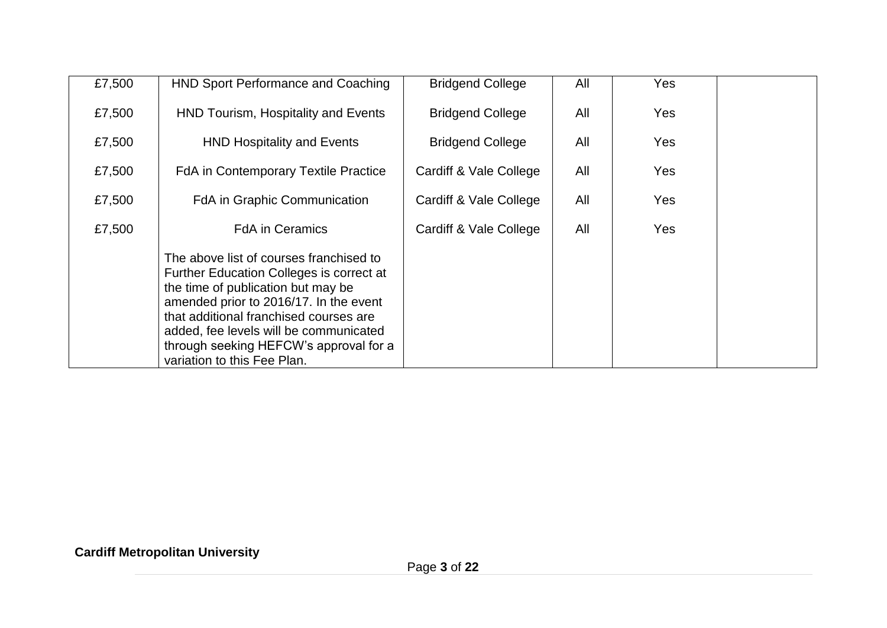| £7,500 | HND Sport Performance and Coaching                                                                                                                                                                                                                                                                                               | <b>Bridgend College</b> | All | Yes        |  |
|--------|----------------------------------------------------------------------------------------------------------------------------------------------------------------------------------------------------------------------------------------------------------------------------------------------------------------------------------|-------------------------|-----|------------|--|
| £7,500 | HND Tourism, Hospitality and Events                                                                                                                                                                                                                                                                                              | <b>Bridgend College</b> | All | <b>Yes</b> |  |
| £7,500 | <b>HND Hospitality and Events</b>                                                                                                                                                                                                                                                                                                | <b>Bridgend College</b> | All | Yes        |  |
| £7,500 | <b>FdA</b> in Contemporary Textile Practice                                                                                                                                                                                                                                                                                      | Cardiff & Vale College  | All | Yes        |  |
| £7,500 | <b>FdA</b> in Graphic Communication                                                                                                                                                                                                                                                                                              | Cardiff & Vale College  | All | Yes        |  |
| £7,500 | <b>FdA</b> in Ceramics                                                                                                                                                                                                                                                                                                           | Cardiff & Vale College  | All | Yes        |  |
|        | The above list of courses franchised to<br>Further Education Colleges is correct at<br>the time of publication but may be<br>amended prior to 2016/17. In the event<br>that additional franchised courses are<br>added, fee levels will be communicated<br>through seeking HEFCW's approval for a<br>variation to this Fee Plan. |                         |     |            |  |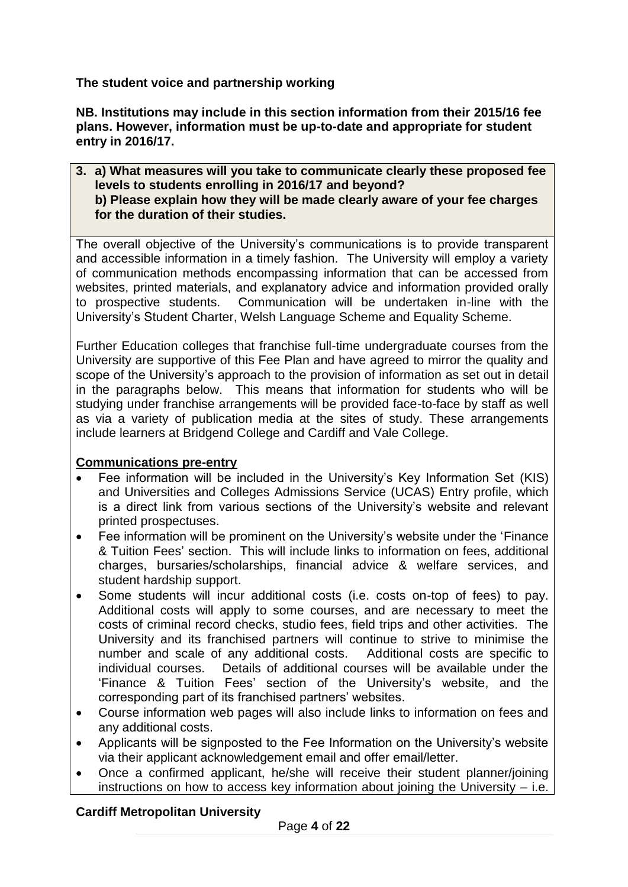**The student voice and partnership working**

**NB. Institutions may include in this section information from their 2015/16 fee plans. However, information must be up-to-date and appropriate for student entry in 2016/17.** 

#### **3. a) What measures will you take to communicate clearly these proposed fee levels to students enrolling in 2016/17 and beyond? b) Please explain how they will be made clearly aware of your fee charges for the duration of their studies.**

The overall objective of the University's communications is to provide transparent and accessible information in a timely fashion. The University will employ a variety of communication methods encompassing information that can be accessed from websites, printed materials, and explanatory advice and information provided orally to prospective students. Communication will be undertaken in-line with the University's Student Charter, Welsh Language Scheme and Equality Scheme.

Further Education colleges that franchise full-time undergraduate courses from the University are supportive of this Fee Plan and have agreed to mirror the quality and scope of the University's approach to the provision of information as set out in detail in the paragraphs below. This means that information for students who will be studying under franchise arrangements will be provided face-to-face by staff as well as via a variety of publication media at the sites of study. These arrangements include learners at Bridgend College and Cardiff and Vale College.

## **Communications pre-entry**

- Fee information will be included in the University's Key Information Set (KIS) and Universities and Colleges Admissions Service (UCAS) Entry profile, which is a direct link from various sections of the University's website and relevant printed prospectuses.
- Fee information will be prominent on the University's website under the 'Finance & Tuition Fees' section. This will include links to information on fees, additional charges, bursaries/scholarships, financial advice & welfare services, and student hardship support.
- Some students will incur additional costs (i.e. costs on-top of fees) to pay. Additional costs will apply to some courses, and are necessary to meet the costs of criminal record checks, studio fees, field trips and other activities. The University and its franchised partners will continue to strive to minimise the number and scale of any additional costs. Additional costs are specific to individual courses. Details of additional courses will be available under the 'Finance & Tuition Fees' section of the University's website, and the corresponding part of its franchised partners' websites.
- Course information web pages will also include links to information on fees and any additional costs.
- Applicants will be signposted to the Fee Information on the University's website via their applicant acknowledgement email and offer email/letter.
- Once a confirmed applicant, he/she will receive their student planner/joining instructions on how to access key information about joining the University – i.e.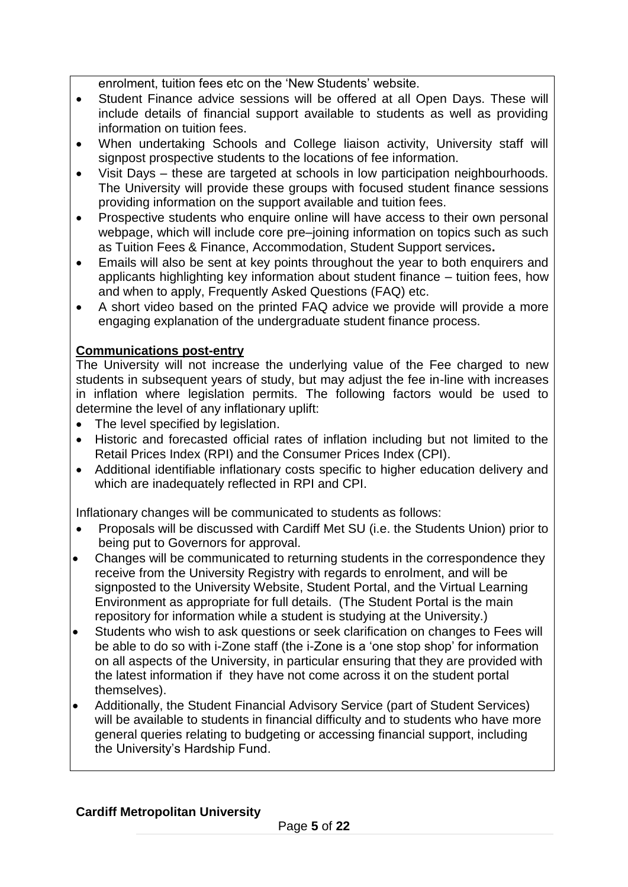enrolment, tuition fees etc on the 'New Students' website.

- Student Finance advice sessions will be offered at all Open Days. These will include details of financial support available to students as well as providing information on tuition fees.
- When undertaking Schools and College liaison activity, University staff will signpost prospective students to the locations of fee information.
- Visit Days these are targeted at schools in low participation neighbourhoods. The University will provide these groups with focused student finance sessions providing information on the support available and tuition fees.
- Prospective students who enquire online will have access to their own personal webpage, which will include core pre–joining information on topics such as such as Tuition Fees & Finance, Accommodation, Student Support services**.**
- Emails will also be sent at key points throughout the year to both enquirers and applicants highlighting key information about student finance – tuition fees, how and when to apply, Frequently Asked Questions (FAQ) etc.
- A short video based on the printed FAQ advice we provide will provide a more engaging explanation of the undergraduate student finance process.

# **Communications post-entry**

The University will not increase the underlying value of the Fee charged to new students in subsequent years of study, but may adjust the fee in-line with increases in inflation where legislation permits. The following factors would be used to determine the level of any inflationary uplift:

- The level specified by legislation.
- Historic and forecasted official rates of inflation including but not limited to the Retail Prices Index (RPI) and the Consumer Prices Index (CPI).
- Additional identifiable inflationary costs specific to higher education delivery and which are inadequately reflected in RPI and CPI.

Inflationary changes will be communicated to students as follows:

- Proposals will be discussed with Cardiff Met SU (i.e. the Students Union) prior to being put to Governors for approval.
- Changes will be communicated to returning students in the correspondence they receive from the University Registry with regards to enrolment, and will be signposted to the University Website, Student Portal, and the Virtual Learning Environment as appropriate for full details. (The Student Portal is the main repository for information while a student is studying at the University.)
- Students who wish to ask questions or seek clarification on changes to Fees will be able to do so with i-Zone staff (the i-Zone is a 'one stop shop' for information on all aspects of the University, in particular ensuring that they are provided with the latest information if they have not come across it on the student portal themselves).
- Additionally, the Student Financial Advisory Service (part of Student Services) will be available to students in financial difficulty and to students who have more general queries relating to budgeting or accessing financial support, including the University's Hardship Fund.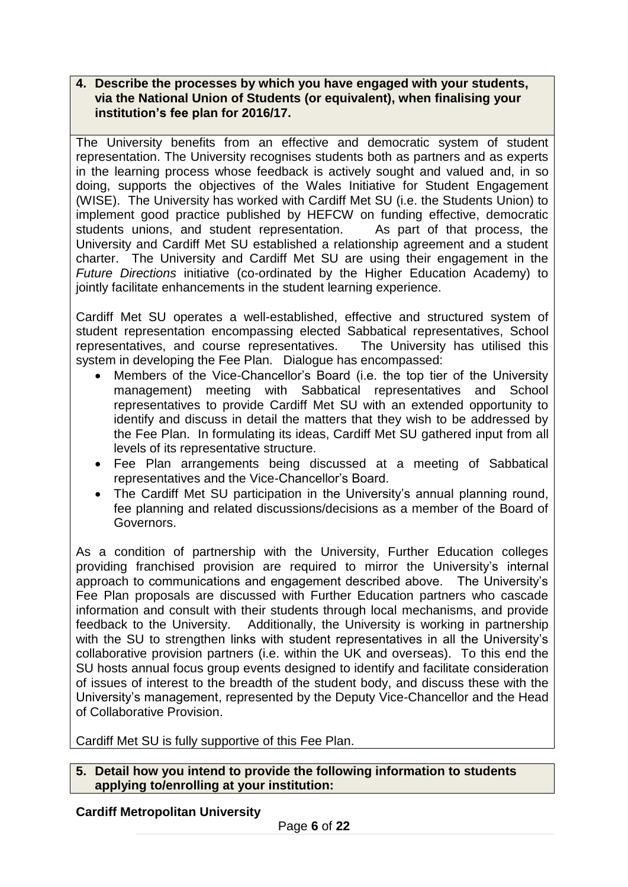#### **4. Describe the processes by which you have engaged with your students, via the National Union of Students (or equivalent), when finalising your institution's fee plan for 2016/17.**

The University benefits from an effective and democratic system of student representation. The University recognises students both as partners and as experts in the learning process whose feedback is actively sought and valued and, in so doing, supports the objectives of the Wales Initiative for Student Engagement (WISE). The University has worked with Cardiff Met SU (i.e. the Students Union) to implement good practice published by HEFCW on funding effective, democratic students unions, and student representation. As part of that process, the University and Cardiff Met SU established a relationship agreement and a student charter. The University and Cardiff Met SU are using their engagement in the *Future Directions* initiative (co-ordinated by the Higher Education Academy) to jointly facilitate enhancements in the student learning experience.

Cardiff Met SU operates a well-established, effective and structured system of student representation encompassing elected Sabbatical representatives, School representatives, and course representatives. The University has utilised this system in developing the Fee Plan. Dialogue has encompassed:

- Members of the Vice-Chancellor's Board (i.e. the top tier of the University management) meeting with Sabbatical representatives and School representatives to provide Cardiff Met SU with an extended opportunity to identify and discuss in detail the matters that they wish to be addressed by the Fee Plan. In formulating its ideas, Cardiff Met SU gathered input from all levels of its representative structure.
- Fee Plan arrangements being discussed at a meeting of Sabbatical representatives and the Vice-Chancellor's Board.
- The Cardiff Met SU participation in the University's annual planning round, fee planning and related discussions/decisions as a member of the Board of Governors.

As a condition of partnership with the University, Further Education colleges providing franchised provision are required to mirror the University's internal approach to communications and engagement described above. The University's Fee Plan proposals are discussed with Further Education partners who cascade information and consult with their students through local mechanisms, and provide feedback to the University. Additionally, the University is working in partnership with the SU to strengthen links with student representatives in all the University's collaborative provision partners (i.e. within the UK and overseas). To this end the SU hosts annual focus group events designed to identify and facilitate consideration of issues of interest to the breadth of the student body, and discuss these with the University's management, represented by the Deputy Vice-Chancellor and the Head of Collaborative Provision.

Cardiff Met SU is fully supportive of this Fee Plan.

#### **5. Detail how you intend to provide the following information to students applying to/enrolling at your institution:**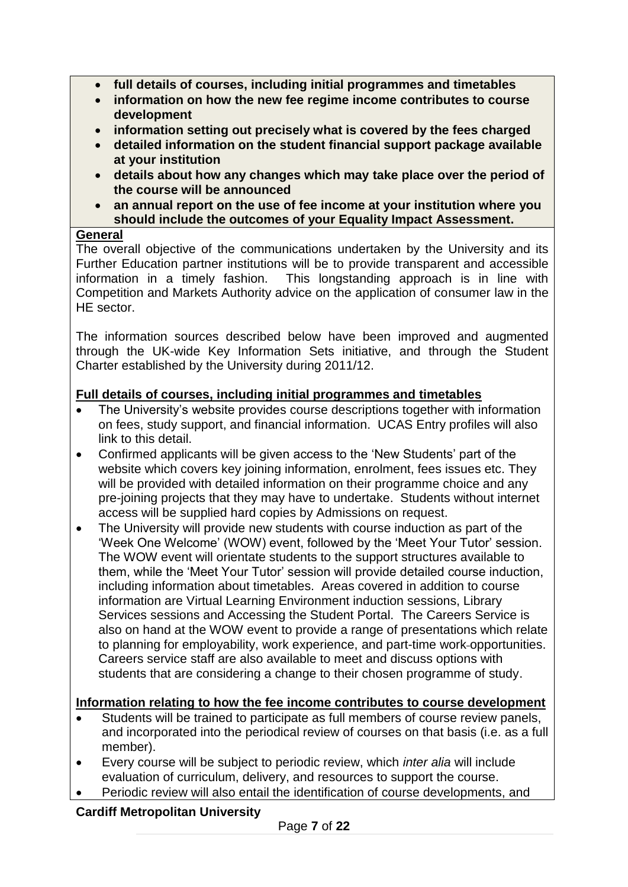- **full details of courses, including initial programmes and timetables**
- **information on how the new fee regime income contributes to course development**
- **information setting out precisely what is covered by the fees charged**
- **detailed information on the student financial support package available at your institution**
- **details about how any changes which may take place over the period of the course will be announced**
- **an annual report on the use of fee income at your institution where you should include the outcomes of your Equality Impact Assessment.**

## **General**

The overall objective of the communications undertaken by the University and its Further Education partner institutions will be to provide transparent and accessible information in a timely fashion. This longstanding approach is in line with Competition and Markets Authority advice on the application of consumer law in the HE sector.

The information sources described below have been improved and augmented through the UK-wide Key Information Sets initiative, and through the Student Charter established by the University during 2011/12.

# **Full details of courses, including initial programmes and timetables**

- The University's website provides course descriptions together with information on fees, study support, and financial information. UCAS Entry profiles will also link to this detail.
- Confirmed applicants will be given access to the 'New Students' part of the website which covers key joining information, enrolment, fees issues etc. They will be provided with detailed information on their programme choice and any pre-joining projects that they may have to undertake. Students without internet access will be supplied hard copies by Admissions on request.
- The University will provide new students with course induction as part of the 'Week One Welcome' (WOW) event, followed by the 'Meet Your Tutor' session. The WOW event will orientate students to the support structures available to them, while the 'Meet Your Tutor' session will provide detailed course induction, including information about timetables. Areas covered in addition to course information are Virtual Learning Environment induction sessions, Library Services sessions and Accessing the Student Portal. The Careers Service is also on hand at the WOW event to provide a range of presentations which relate to planning for employability, work experience, and part-time work opportunities. Careers service staff are also available to meet and discuss options with students that are considering a change to their chosen programme of study.

# **Information relating to how the fee income contributes to course development**

- Students will be trained to participate as full members of course review panels, and incorporated into the periodical review of courses on that basis (i.e. as a full member).
- Every course will be subject to periodic review, which *inter alia* will include evaluation of curriculum, delivery, and resources to support the course.
- Periodic review will also entail the identification of course developments, and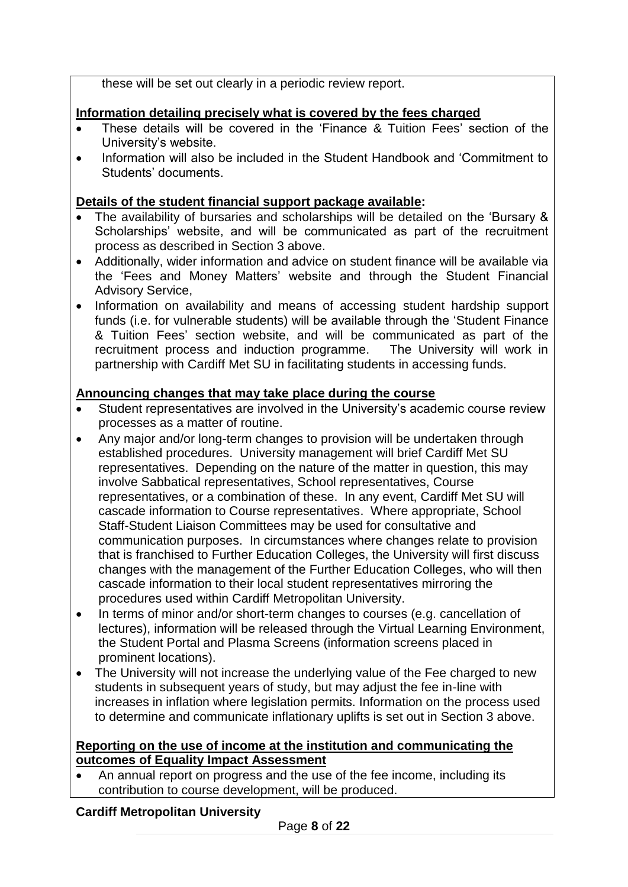these will be set out clearly in a periodic review report.

# **Information detailing precisely what is covered by the fees charged**

- These details will be covered in the 'Finance & Tuition Fees' section of the University's website.
- Information will also be included in the Student Handbook and 'Commitment to Students' documents.

# **Details of the student financial support package available:**

- The availability of bursaries and scholarships will be detailed on the 'Bursary & Scholarships' website, and will be communicated as part of the recruitment process as described in Section 3 above.
- Additionally, wider information and advice on student finance will be available via the 'Fees and Money Matters' website and through the Student Financial Advisory Service,
- Information on availability and means of accessing student hardship support funds (i.e. for vulnerable students) will be available through the 'Student Finance & Tuition Fees' section website, and will be communicated as part of the recruitment process and induction programme. The University will work in partnership with Cardiff Met SU in facilitating students in accessing funds.

# **Announcing changes that may take place during the course**

- Student representatives are involved in the University's academic course review processes as a matter of routine.
- Any major and/or long-term changes to provision will be undertaken through established procedures. University management will brief Cardiff Met SU representatives. Depending on the nature of the matter in question, this may involve Sabbatical representatives, School representatives, Course representatives, or a combination of these. In any event, Cardiff Met SU will cascade information to Course representatives. Where appropriate, School Staff-Student Liaison Committees may be used for consultative and communication purposes. In circumstances where changes relate to provision that is franchised to Further Education Colleges, the University will first discuss changes with the management of the Further Education Colleges, who will then cascade information to their local student representatives mirroring the procedures used within Cardiff Metropolitan University.
- In terms of minor and/or short-term changes to courses (e.g. cancellation of lectures), information will be released through the Virtual Learning Environment, the Student Portal and Plasma Screens (information screens placed in prominent locations).
- The University will not increase the underlying value of the Fee charged to new students in subsequent years of study, but may adjust the fee in-line with increases in inflation where legislation permits. Information on the process used to determine and communicate inflationary uplifts is set out in Section 3 above.

## **Reporting on the use of income at the institution and communicating the outcomes of Equality Impact Assessment**

 An annual report on progress and the use of the fee income, including its contribution to course development, will be produced.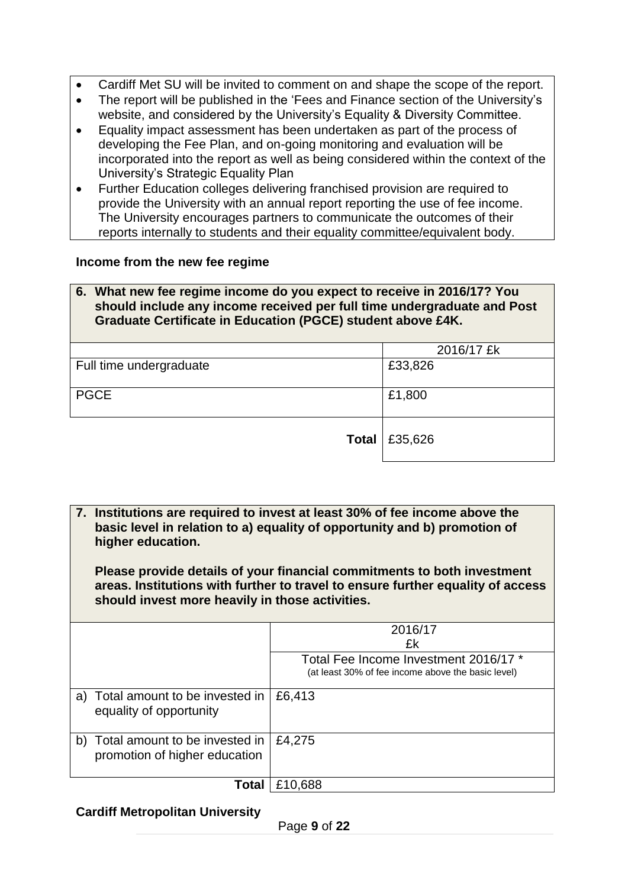- Cardiff Met SU will be invited to comment on and shape the scope of the report.
- The report will be published in the 'Fees and Finance section of the University's website, and considered by the University's Equality & Diversity Committee.
- Equality impact assessment has been undertaken as part of the process of developing the Fee Plan, and on-going monitoring and evaluation will be incorporated into the report as well as being considered within the context of the University's Strategic Equality Plan
- Further Education colleges delivering franchised provision are required to provide the University with an annual report reporting the use of fee income. The University encourages partners to communicate the outcomes of their reports internally to students and their equality committee/equivalent body.

#### **Income from the new fee regime**

#### **6. What new fee regime income do you expect to receive in 2016/17? You should include any income received per full time undergraduate and Post Graduate Certificate in Education (PGCE) student above £4K.**

|                         | 2016/17 £k            |
|-------------------------|-----------------------|
| Full time undergraduate | £33,826               |
|                         |                       |
| <b>PGCE</b>             | £1,800                |
|                         |                       |
|                         |                       |
|                         | Total $\vert$ £35,626 |
|                         |                       |

**7. Institutions are required to invest at least 30% of fee income above the basic level in relation to a) equality of opportunity and b) promotion of higher education.** 

**Please provide details of your financial commitments to both investment areas. Institutions with further to travel to ensure further equality of access should invest more heavily in those activities.**

|                                                                       | 2016/17<br>£k                                                                               |
|-----------------------------------------------------------------------|---------------------------------------------------------------------------------------------|
|                                                                       |                                                                                             |
|                                                                       | Total Fee Income Investment 2016/17 *<br>(at least 30% of fee income above the basic level) |
| Total amount to be invested in<br>a)<br>equality of opportunity       | £6,413                                                                                      |
| Total amount to be invested in<br>b)<br>promotion of higher education | £4,275                                                                                      |
| Total                                                                 | £10,688                                                                                     |

#### **Cardiff Metropolitan University**

Page **9** of **22**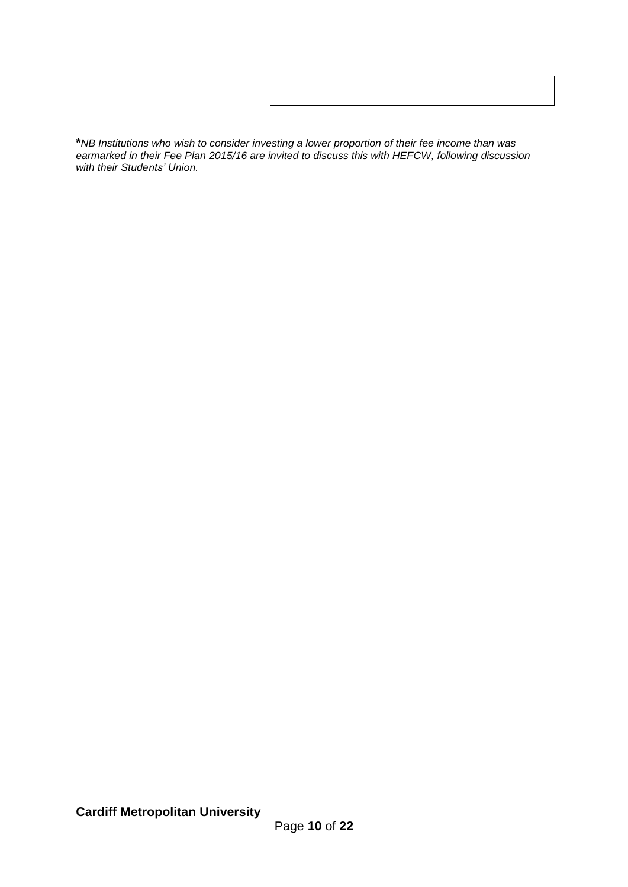**\****NB Institutions who wish to consider investing a lower proportion of their fee income than was earmarked in their Fee Plan 2015/16 are invited to discuss this with HEFCW, following discussion with their Students' Union.*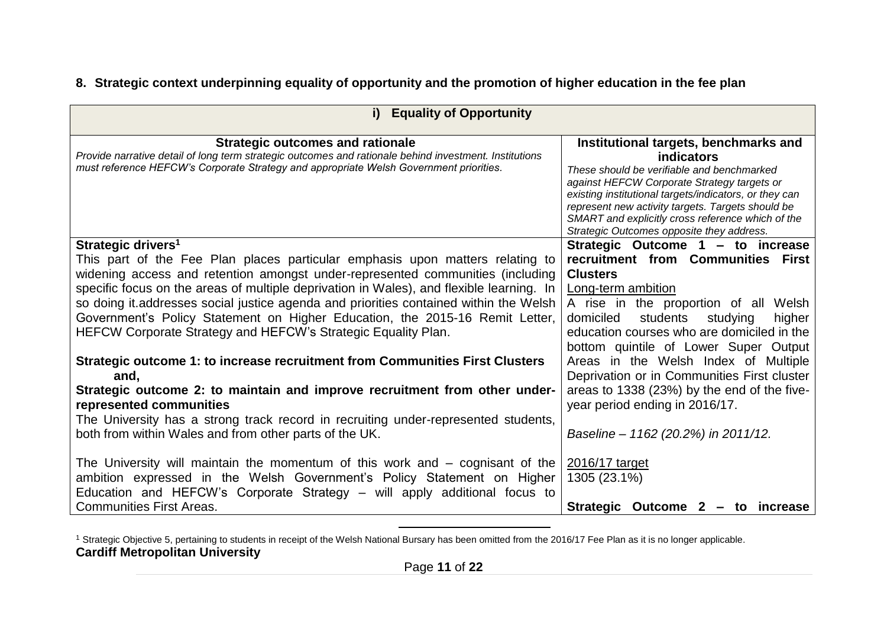# **8. Strategic context underpinning equality of opportunity and the promotion of higher education in the fee plan**

| <b>Equality of Opportunity</b><br>i)                                                                                                                                                                                                                                                                                                                                                                                                                                                                                                                                                          |                                                                                                                                                                                                                                                                                                                                                                          |  |
|-----------------------------------------------------------------------------------------------------------------------------------------------------------------------------------------------------------------------------------------------------------------------------------------------------------------------------------------------------------------------------------------------------------------------------------------------------------------------------------------------------------------------------------------------------------------------------------------------|--------------------------------------------------------------------------------------------------------------------------------------------------------------------------------------------------------------------------------------------------------------------------------------------------------------------------------------------------------------------------|--|
| <b>Strategic outcomes and rationale</b><br>Provide narrative detail of long term strategic outcomes and rationale behind investment. Institutions<br>must reference HEFCW's Corporate Strategy and appropriate Welsh Government priorities.                                                                                                                                                                                                                                                                                                                                                   | Institutional targets, benchmarks and<br><b>indicators</b><br>These should be verifiable and benchmarked<br>against HEFCW Corporate Strategy targets or<br>existing institutional targets/indicators, or they can<br>represent new activity targets. Targets should be<br>SMART and explicitly cross reference which of the<br>Strategic Outcomes opposite they address. |  |
| Strategic drivers <sup>1</sup>                                                                                                                                                                                                                                                                                                                                                                                                                                                                                                                                                                | Strategic Outcome 1 - to increase                                                                                                                                                                                                                                                                                                                                        |  |
| This part of the Fee Plan places particular emphasis upon matters relating to<br>widening access and retention amongst under-represented communities (including<br>specific focus on the areas of multiple deprivation in Wales), and flexible learning. In<br>so doing it addresses social justice agenda and priorities contained within the Welsh<br>Government's Policy Statement on Higher Education, the 2015-16 Remit Letter,<br>HEFCW Corporate Strategy and HEFCW's Strategic Equality Plan.<br>Strategic outcome 1: to increase recruitment from Communities First Clusters<br>and, | recruitment from Communities First<br><b>Clusters</b><br>Long-term ambition<br>A rise in the proportion of all Welsh<br>domiciled<br>students<br>studying<br>higher<br>education courses who are domiciled in the<br>bottom quintile of Lower Super Output<br>Areas in the Welsh Index of Multiple<br>Deprivation or in Communities First cluster                        |  |
| Strategic outcome 2: to maintain and improve recruitment from other under-                                                                                                                                                                                                                                                                                                                                                                                                                                                                                                                    | areas to 1338 (23%) by the end of the five-                                                                                                                                                                                                                                                                                                                              |  |
| represented communities<br>The University has a strong track record in recruiting under-represented students,<br>both from within Wales and from other parts of the UK.                                                                                                                                                                                                                                                                                                                                                                                                                       | year period ending in 2016/17.<br>Baseline - 1162 (20.2%) in 2011/12.                                                                                                                                                                                                                                                                                                    |  |
| The University will maintain the momentum of this work and – cognisant of the<br>ambition expressed in the Welsh Government's Policy Statement on Higher<br>Education and HEFCW's Corporate Strategy – will apply additional focus to<br><b>Communities First Areas.</b>                                                                                                                                                                                                                                                                                                                      | 2016/17 target<br>1305 (23.1%)                                                                                                                                                                                                                                                                                                                                           |  |
|                                                                                                                                                                                                                                                                                                                                                                                                                                                                                                                                                                                               | Strategic Outcome 2 - to increase                                                                                                                                                                                                                                                                                                                                        |  |

**Cardiff Metropolitan University** <sup>1</sup> Strategic Objective 5, pertaining to students in receipt of the Welsh National Bursary has been omitted from the 2016/17 Fee Plan as it is no longer applicable.

 $\overline{a}$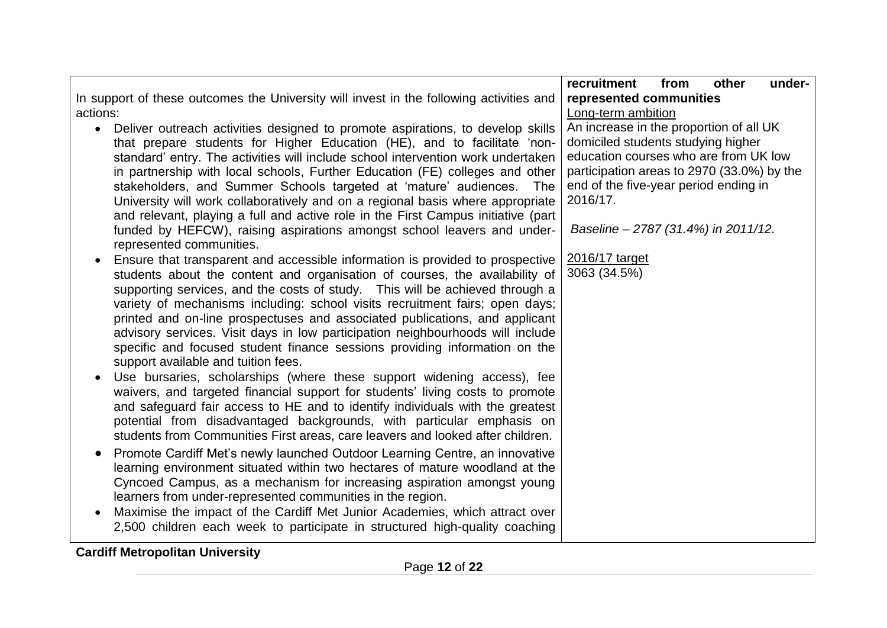|                                                                                                                                                                                                                                                                                                                                                                                                                                                                                                                                                                                                                                                                                                           | recruitment<br>other<br>from<br>under-                                                                                 |
|-----------------------------------------------------------------------------------------------------------------------------------------------------------------------------------------------------------------------------------------------------------------------------------------------------------------------------------------------------------------------------------------------------------------------------------------------------------------------------------------------------------------------------------------------------------------------------------------------------------------------------------------------------------------------------------------------------------|------------------------------------------------------------------------------------------------------------------------|
| In support of these outcomes the University will invest in the following activities and<br>actions:                                                                                                                                                                                                                                                                                                                                                                                                                                                                                                                                                                                                       | represented communities<br>Long-term ambition                                                                          |
| Deliver outreach activities designed to promote aspirations, to develop skills<br>$\bullet$<br>that prepare students for Higher Education (HE), and to facilitate 'non-<br>standard' entry. The activities will include school intervention work undertaken                                                                                                                                                                                                                                                                                                                                                                                                                                               | An increase in the proportion of all UK<br>domiciled students studying higher<br>education courses who are from UK low |
| in partnership with local schools, Further Education (FE) colleges and other<br>stakeholders, and Summer Schools targeted at 'mature' audiences.<br>The<br>University will work collaboratively and on a regional basis where appropriate<br>and relevant, playing a full and active role in the First Campus initiative (part                                                                                                                                                                                                                                                                                                                                                                            | participation areas to 2970 (33.0%) by the<br>end of the five-year period ending in<br>2016/17.                        |
| funded by HEFCW), raising aspirations amongst school leavers and under-<br>represented communities.                                                                                                                                                                                                                                                                                                                                                                                                                                                                                                                                                                                                       | Baseline - 2787 (31.4%) in 2011/12.                                                                                    |
| Ensure that transparent and accessible information is provided to prospective<br>$\bullet$<br>students about the content and organisation of courses, the availability of<br>supporting services, and the costs of study. This will be achieved through a<br>variety of mechanisms including: school visits recruitment fairs; open days;<br>printed and on-line prospectuses and associated publications, and applicant<br>advisory services. Visit days in low participation neighbourhoods will include<br>specific and focused student finance sessions providing information on the<br>support available and tuition fees.<br>Use bursaries, scholarships (where these support widening access), fee | 2016/17 target<br>3063 (34.5%)                                                                                         |
| waivers, and targeted financial support for students' living costs to promote<br>and safeguard fair access to HE and to identify individuals with the greatest<br>potential from disadvantaged backgrounds, with particular emphasis on<br>students from Communities First areas, care leavers and looked after children.                                                                                                                                                                                                                                                                                                                                                                                 |                                                                                                                        |
| Promote Cardiff Met's newly launched Outdoor Learning Centre, an innovative<br>$\bullet$<br>learning environment situated within two hectares of mature woodland at the<br>Cyncoed Campus, as a mechanism for increasing aspiration amongst young<br>learners from under-represented communities in the region.<br>Maximise the impact of the Cardiff Met Junior Academies, which attract over                                                                                                                                                                                                                                                                                                            |                                                                                                                        |
| 2,500 children each week to participate in structured high-quality coaching                                                                                                                                                                                                                                                                                                                                                                                                                                                                                                                                                                                                                               |                                                                                                                        |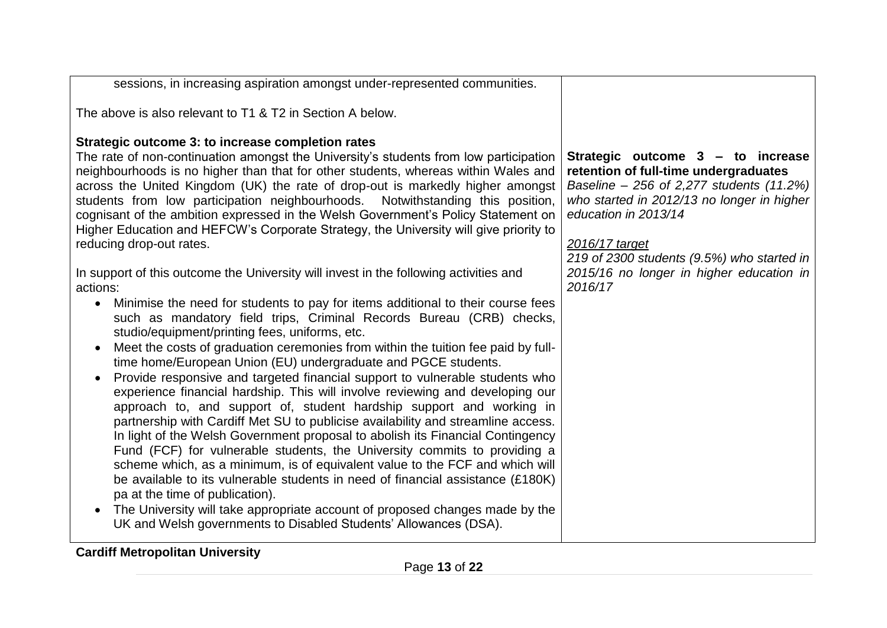| sessions, in increasing aspiration amongst under-represented communities.                                                                                                                                                                                                                                                                                                                                                                                                                                                                                                                                                                                                                                                                                                                                                                                                                                                                                                                                                                                                                                                                                                                                                                                                                                                                                                                                                                                                                                                                                                                                                                                                                                                                                                                                                                                                                           |                                                                                                                                                                                                                                                                                                                     |
|-----------------------------------------------------------------------------------------------------------------------------------------------------------------------------------------------------------------------------------------------------------------------------------------------------------------------------------------------------------------------------------------------------------------------------------------------------------------------------------------------------------------------------------------------------------------------------------------------------------------------------------------------------------------------------------------------------------------------------------------------------------------------------------------------------------------------------------------------------------------------------------------------------------------------------------------------------------------------------------------------------------------------------------------------------------------------------------------------------------------------------------------------------------------------------------------------------------------------------------------------------------------------------------------------------------------------------------------------------------------------------------------------------------------------------------------------------------------------------------------------------------------------------------------------------------------------------------------------------------------------------------------------------------------------------------------------------------------------------------------------------------------------------------------------------------------------------------------------------------------------------------------------------|---------------------------------------------------------------------------------------------------------------------------------------------------------------------------------------------------------------------------------------------------------------------------------------------------------------------|
| The above is also relevant to T1 & T2 in Section A below.                                                                                                                                                                                                                                                                                                                                                                                                                                                                                                                                                                                                                                                                                                                                                                                                                                                                                                                                                                                                                                                                                                                                                                                                                                                                                                                                                                                                                                                                                                                                                                                                                                                                                                                                                                                                                                           |                                                                                                                                                                                                                                                                                                                     |
| Strategic outcome 3: to increase completion rates<br>The rate of non-continuation amongst the University's students from low participation<br>neighbourhoods is no higher than that for other students, whereas within Wales and<br>across the United Kingdom (UK) the rate of drop-out is markedly higher amongst<br>students from low participation neighbourhoods. Notwithstanding this position,<br>cognisant of the ambition expressed in the Welsh Government's Policy Statement on<br>Higher Education and HEFCW's Corporate Strategy, the University will give priority to<br>reducing drop-out rates.<br>In support of this outcome the University will invest in the following activities and<br>actions:<br>Minimise the need for students to pay for items additional to their course fees<br>$\bullet$<br>such as mandatory field trips, Criminal Records Bureau (CRB) checks,<br>studio/equipment/printing fees, uniforms, etc.<br>Meet the costs of graduation ceremonies from within the tuition fee paid by full-<br>$\bullet$<br>time home/European Union (EU) undergraduate and PGCE students.<br>Provide responsive and targeted financial support to vulnerable students who<br>experience financial hardship. This will involve reviewing and developing our<br>approach to, and support of, student hardship support and working in<br>partnership with Cardiff Met SU to publicise availability and streamline access.<br>In light of the Welsh Government proposal to abolish its Financial Contingency<br>Fund (FCF) for vulnerable students, the University commits to providing a<br>scheme which, as a minimum, is of equivalent value to the FCF and which will<br>be available to its vulnerable students in need of financial assistance (£180K)<br>pa at the time of publication).<br>The University will take appropriate account of proposed changes made by the | Strategic outcome 3 - to increase<br>retention of full-time undergraduates<br>Baseline - 256 of 2,277 students (11.2%)<br>who started in 2012/13 no longer in higher<br>education in 2013/14<br>2016/17 target<br>219 of 2300 students (9.5%) who started in<br>2015/16 no longer in higher education in<br>2016/17 |
| UK and Welsh governments to Disabled Students' Allowances (DSA).                                                                                                                                                                                                                                                                                                                                                                                                                                                                                                                                                                                                                                                                                                                                                                                                                                                                                                                                                                                                                                                                                                                                                                                                                                                                                                                                                                                                                                                                                                                                                                                                                                                                                                                                                                                                                                    |                                                                                                                                                                                                                                                                                                                     |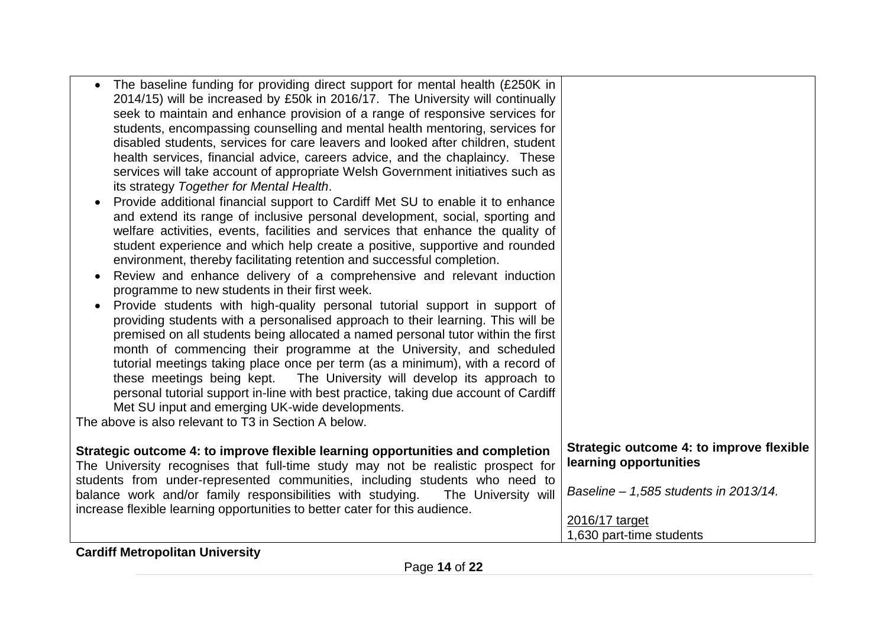| Strategic outcome 4: to improve flexible learning opportunities and completion<br>learning opportunities<br>The University recognises that full-time study may not be realistic prospect for<br>students from under-represented communities, including students who need to<br>Baseline - 1,585 students in 2013/14.<br>balance work and/or family responsibilities with studying.<br>The University will<br>increase flexible learning opportunities to better cater for this audience.<br>2016/17 target | The baseline funding for providing direct support for mental health (£250K in<br>2014/15) will be increased by £50k in 2016/17. The University will continually<br>seek to maintain and enhance provision of a range of responsive services for<br>students, encompassing counselling and mental health mentoring, services for<br>disabled students, services for care leavers and looked after children, student<br>health services, financial advice, careers advice, and the chaplaincy. These<br>services will take account of appropriate Welsh Government initiatives such as<br>its strategy Together for Mental Health.<br>Provide additional financial support to Cardiff Met SU to enable it to enhance<br>and extend its range of inclusive personal development, social, sporting and<br>welfare activities, events, facilities and services that enhance the quality of<br>student experience and which help create a positive, supportive and rounded<br>environment, thereby facilitating retention and successful completion.<br>Review and enhance delivery of a comprehensive and relevant induction<br>programme to new students in their first week.<br>Provide students with high-quality personal tutorial support in support of<br>providing students with a personalised approach to their learning. This will be<br>premised on all students being allocated a named personal tutor within the first<br>month of commencing their programme at the University, and scheduled<br>tutorial meetings taking place once per term (as a minimum), with a record of<br>these meetings being kept.  The University will develop its approach to<br>personal tutorial support in-line with best practice, taking due account of Cardiff<br>Met SU input and emerging UK-wide developments.<br>The above is also relevant to T3 in Section A below. |                                                                      |
|------------------------------------------------------------------------------------------------------------------------------------------------------------------------------------------------------------------------------------------------------------------------------------------------------------------------------------------------------------------------------------------------------------------------------------------------------------------------------------------------------------|----------------------------------------------------------------------------------------------------------------------------------------------------------------------------------------------------------------------------------------------------------------------------------------------------------------------------------------------------------------------------------------------------------------------------------------------------------------------------------------------------------------------------------------------------------------------------------------------------------------------------------------------------------------------------------------------------------------------------------------------------------------------------------------------------------------------------------------------------------------------------------------------------------------------------------------------------------------------------------------------------------------------------------------------------------------------------------------------------------------------------------------------------------------------------------------------------------------------------------------------------------------------------------------------------------------------------------------------------------------------------------------------------------------------------------------------------------------------------------------------------------------------------------------------------------------------------------------------------------------------------------------------------------------------------------------------------------------------------------------------------------------------------------------------------------------------------------------------------------------------|----------------------------------------------------------------------|
|                                                                                                                                                                                                                                                                                                                                                                                                                                                                                                            |                                                                                                                                                                                                                                                                                                                                                                                                                                                                                                                                                                                                                                                                                                                                                                                                                                                                                                                                                                                                                                                                                                                                                                                                                                                                                                                                                                                                                                                                                                                                                                                                                                                                                                                                                                                                                                                                      | Strategic outcome 4: to improve flexible<br>1,630 part-time students |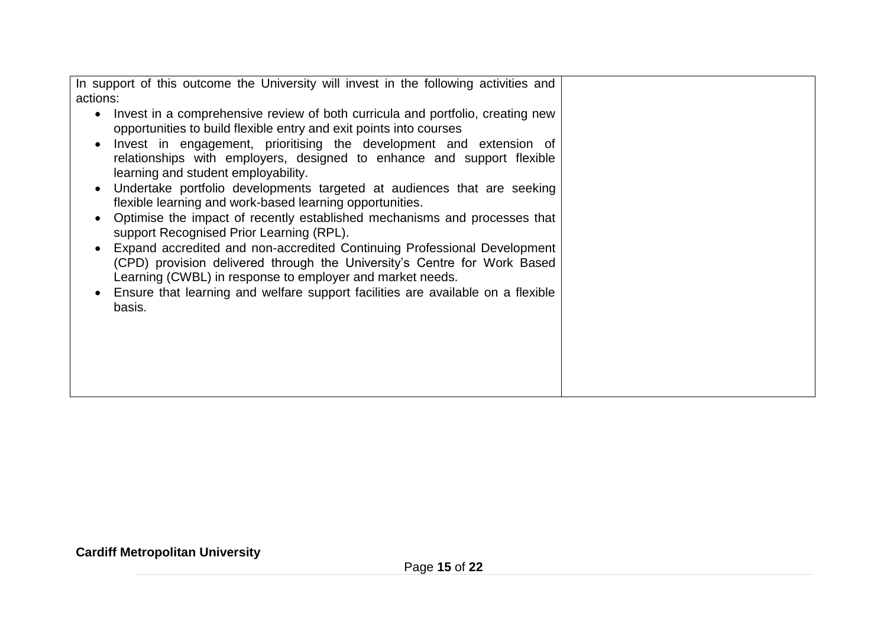| In support of this outcome the University will invest in the following activities and<br>actions:<br>Invest in a comprehensive review of both curricula and portfolio, creating new<br>opportunities to build flexible entry and exit points into courses<br>Invest in engagement, prioritising the development and extension of<br>relationships with employers, designed to enhance and support flexible<br>learning and student employability.<br>Undertake portfolio developments targeted at audiences that are seeking<br>flexible learning and work-based learning opportunities.<br>Optimise the impact of recently established mechanisms and processes that<br>support Recognised Prior Learning (RPL).<br>Expand accredited and non-accredited Continuing Professional Development<br>(CPD) provision delivered through the University's Centre for Work Based<br>Learning (CWBL) in response to employer and market needs.<br>Ensure that learning and welfare support facilities are available on a flexible<br>basis. |  |
|-------------------------------------------------------------------------------------------------------------------------------------------------------------------------------------------------------------------------------------------------------------------------------------------------------------------------------------------------------------------------------------------------------------------------------------------------------------------------------------------------------------------------------------------------------------------------------------------------------------------------------------------------------------------------------------------------------------------------------------------------------------------------------------------------------------------------------------------------------------------------------------------------------------------------------------------------------------------------------------------------------------------------------------|--|
|                                                                                                                                                                                                                                                                                                                                                                                                                                                                                                                                                                                                                                                                                                                                                                                                                                                                                                                                                                                                                                     |  |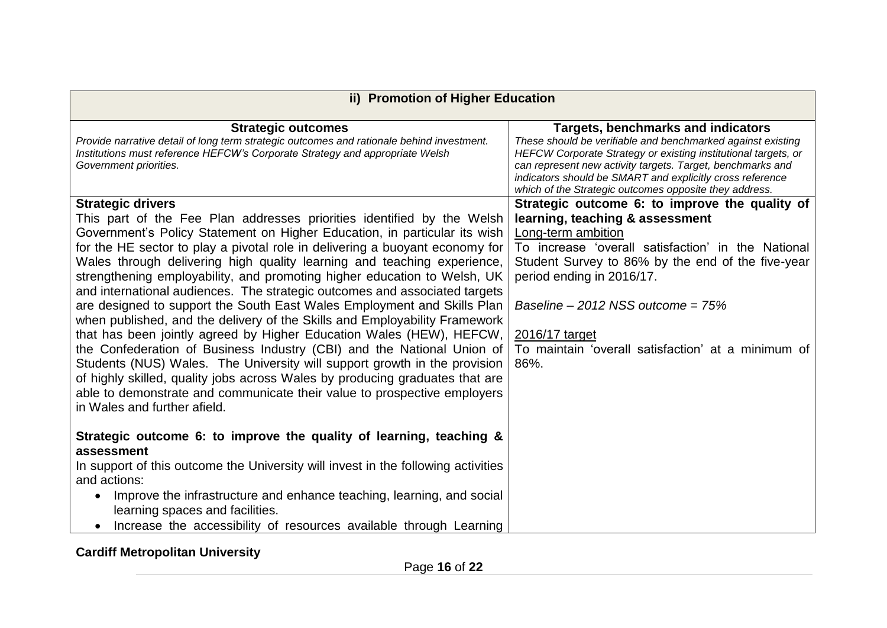| ii) Promotion of Higher Education                                                                                                                                                                                                                                                                                                                                                                                                                                                                                                                                                                                                                                                                                                                                                                                                                                                                                                                                                                                                                                                        |                                                                                                                                                                                                                                                                                                                                                                        |
|------------------------------------------------------------------------------------------------------------------------------------------------------------------------------------------------------------------------------------------------------------------------------------------------------------------------------------------------------------------------------------------------------------------------------------------------------------------------------------------------------------------------------------------------------------------------------------------------------------------------------------------------------------------------------------------------------------------------------------------------------------------------------------------------------------------------------------------------------------------------------------------------------------------------------------------------------------------------------------------------------------------------------------------------------------------------------------------|------------------------------------------------------------------------------------------------------------------------------------------------------------------------------------------------------------------------------------------------------------------------------------------------------------------------------------------------------------------------|
| <b>Strategic outcomes</b><br>Provide narrative detail of long term strategic outcomes and rationale behind investment.<br>Institutions must reference HEFCW's Corporate Strategy and appropriate Welsh<br>Government priorities.                                                                                                                                                                                                                                                                                                                                                                                                                                                                                                                                                                                                                                                                                                                                                                                                                                                         | Targets, benchmarks and indicators<br>These should be verifiable and benchmarked against existing<br>HEFCW Corporate Strategy or existing institutional targets, or<br>can represent new activity targets. Target, benchmarks and<br>indicators should be SMART and explicitly cross reference<br>which of the Strategic outcomes opposite they address.               |
| <b>Strategic drivers</b><br>This part of the Fee Plan addresses priorities identified by the Welsh<br>Government's Policy Statement on Higher Education, in particular its wish<br>for the HE sector to play a pivotal role in delivering a buoyant economy for<br>Wales through delivering high quality learning and teaching experience,<br>strengthening employability, and promoting higher education to Welsh, UK<br>and international audiences. The strategic outcomes and associated targets<br>are designed to support the South East Wales Employment and Skills Plan<br>when published, and the delivery of the Skills and Employability Framework<br>that has been jointly agreed by Higher Education Wales (HEW), HEFCW,<br>the Confederation of Business Industry (CBI) and the National Union of<br>Students (NUS) Wales. The University will support growth in the provision<br>of highly skilled, quality jobs across Wales by producing graduates that are<br>able to demonstrate and communicate their value to prospective employers<br>in Wales and further afield. | Strategic outcome 6: to improve the quality of<br>learning, teaching & assessment<br>Long-term ambition<br>To increase 'overall satisfaction' in the National<br>Student Survey to 86% by the end of the five-year<br>period ending in 2016/17.<br>Baseline – 2012 NSS outcome = $75%$<br>2016/17 target<br>To maintain 'overall satisfaction' at a minimum of<br>86%. |
| Strategic outcome 6: to improve the quality of learning, teaching &<br>assessment<br>In support of this outcome the University will invest in the following activities<br>and actions:<br>Improve the infrastructure and enhance teaching, learning, and social<br>learning spaces and facilities.<br>Increase the accessibility of resources available through Learning                                                                                                                                                                                                                                                                                                                                                                                                                                                                                                                                                                                                                                                                                                                 |                                                                                                                                                                                                                                                                                                                                                                        |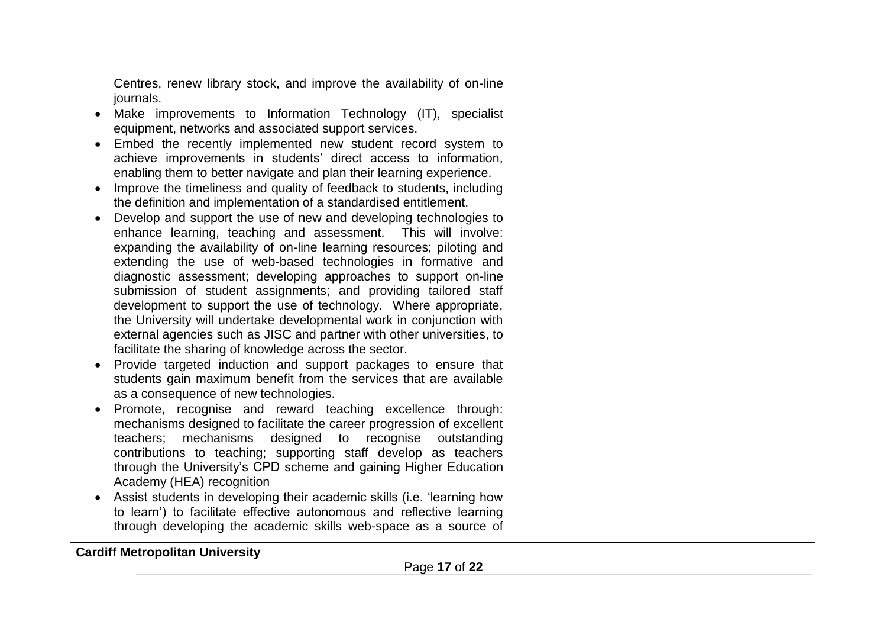Centres, renew library stock, and improve the availability of on-line journals.

- Make improvements to Information Technology (IT), specialist equipment, networks and associated support services.
- Embed the recently implemented new student record system to achieve improvements in students' direct access to information, enabling them to better navigate and plan their learning experience.
- Improve the timeliness and quality of feedback to students, including the definition and implementation of a standardised entitlement.
- Develop and support the use of new and developing technologies to enhance learning, teaching and assessment. This will involve: expanding the availability of on-line learning resources; piloting and extending the use of web-based technologies in formative and diagnostic assessment; developing approaches to support on-line submission of student assignments; and providing tailored staff development to support the use of technology. Where appropriate, the University will undertake developmental work in conjunction with external agencies such as JISC and partner with other universities, to facilitate the sharing of knowledge across the sector.
- Provide targeted induction and support packages to ensure that students gain maximum benefit from the services that are available as a consequence of new technologies.
- Promote, recognise and reward teaching excellence through: mechanisms designed to facilitate the career progression of excellent teachers; mechanisms designed to recognise outstanding contributions to teaching; supporting staff develop as teachers through the University's CPD scheme and gaining Higher Education Academy (HEA) recognition
- Assist students in developing their academic skills (i.e. 'learning how to learn') to facilitate effective autonomous and reflective learning through developing the academic skills web-space as a source of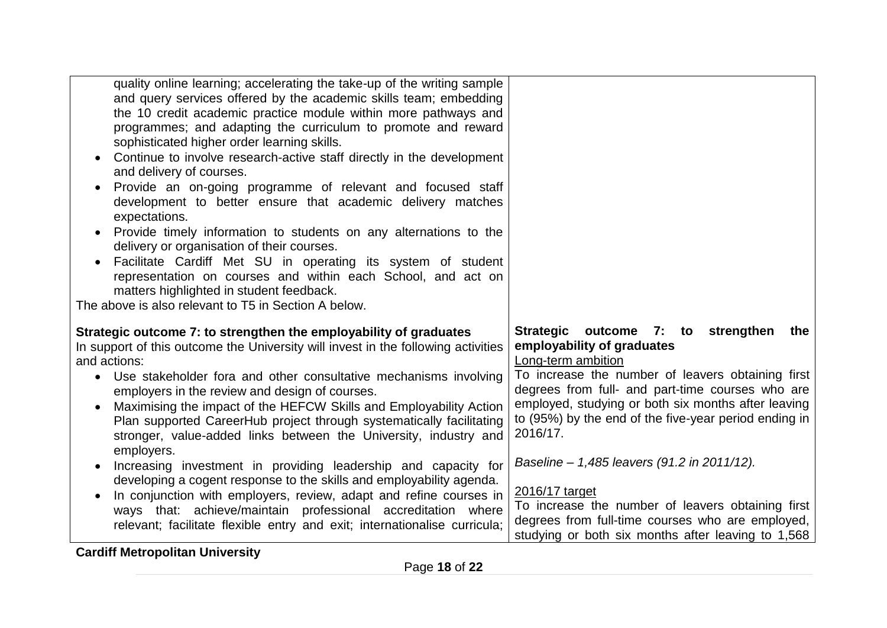| quality online learning; accelerating the take-up of the writing sample<br>and query services offered by the academic skills team; embedding<br>the 10 credit academic practice module within more pathways and<br>programmes; and adapting the curriculum to promote and reward<br>sophisticated higher order learning skills.<br>Continue to involve research-active staff directly in the development<br>and delivery of courses.<br>Provide an on-going programme of relevant and focused staff<br>$\bullet$<br>development to better ensure that academic delivery matches<br>expectations.<br>Provide timely information to students on any alternations to the<br>$\bullet$<br>delivery or organisation of their courses.<br>Facilitate Cardiff Met SU in operating its system of student<br>representation on courses and within each School, and act on<br>matters highlighted in student feedback.<br>The above is also relevant to T5 in Section A below. |                                                                                                                                                                                                                                                                                                                                                                                                                                                                                                                                                                    |
|----------------------------------------------------------------------------------------------------------------------------------------------------------------------------------------------------------------------------------------------------------------------------------------------------------------------------------------------------------------------------------------------------------------------------------------------------------------------------------------------------------------------------------------------------------------------------------------------------------------------------------------------------------------------------------------------------------------------------------------------------------------------------------------------------------------------------------------------------------------------------------------------------------------------------------------------------------------------|--------------------------------------------------------------------------------------------------------------------------------------------------------------------------------------------------------------------------------------------------------------------------------------------------------------------------------------------------------------------------------------------------------------------------------------------------------------------------------------------------------------------------------------------------------------------|
| Strategic outcome 7: to strengthen the employability of graduates<br>In support of this outcome the University will invest in the following activities<br>and actions:<br>Use stakeholder fora and other consultative mechanisms involving<br>$\bullet$<br>employers in the review and design of courses.<br>Maximising the impact of the HEFCW Skills and Employability Action<br>$\bullet$<br>Plan supported CareerHub project through systematically facilitating<br>stronger, value-added links between the University, industry and<br>employers.<br>Increasing investment in providing leadership and capacity for<br>developing a cogent response to the skills and employability agenda.<br>In conjunction with employers, review, adapt and refine courses in<br>ways that: achieve/maintain professional accreditation where<br>relevant; facilitate flexible entry and exit; internationalise curricula;<br><b>Cardiff Metropolitan University</b>        | Strategic outcome 7: to strengthen<br>the<br>employability of graduates<br>Long-term ambition<br>To increase the number of leavers obtaining first<br>degrees from full- and part-time courses who are<br>employed, studying or both six months after leaving<br>to (95%) by the end of the five-year period ending in<br>2016/17.<br>Baseline - 1,485 leavers (91.2 in 2011/12).<br>2016/17 target<br>To increase the number of leavers obtaining first<br>degrees from full-time courses who are employed,<br>studying or both six months after leaving to 1,568 |

Page **18** of **22**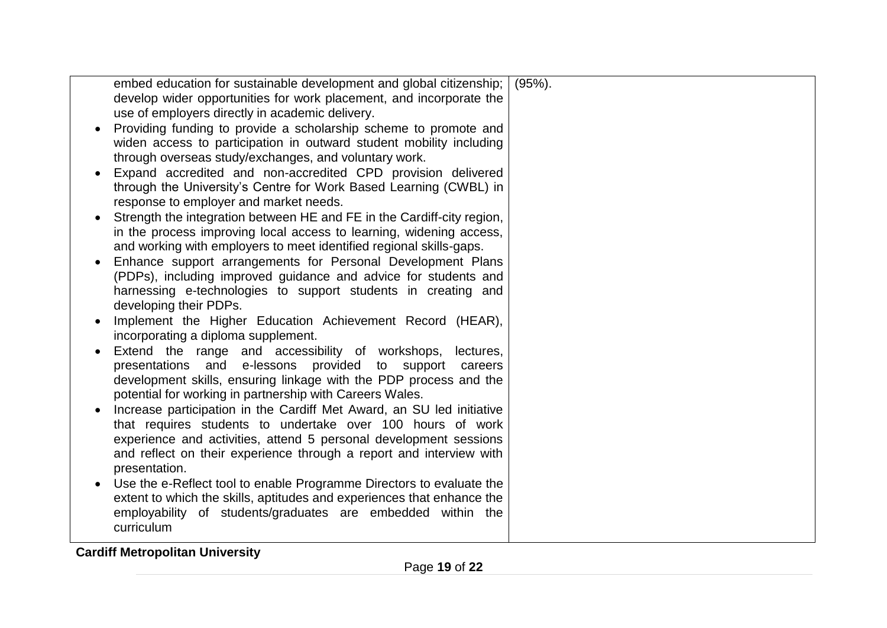| embed education for sustainable development and global citizenship;                           | $(95\%)$ . |
|-----------------------------------------------------------------------------------------------|------------|
| develop wider opportunities for work placement, and incorporate the                           |            |
| use of employers directly in academic delivery.                                               |            |
| Providing funding to provide a scholarship scheme to promote and                              |            |
| widen access to participation in outward student mobility including                           |            |
| through overseas study/exchanges, and voluntary work.                                         |            |
| Expand accredited and non-accredited CPD provision delivered                                  |            |
|                                                                                               |            |
| through the University's Centre for Work Based Learning (CWBL) in                             |            |
| response to employer and market needs.                                                        |            |
| Strength the integration between HE and FE in the Cardiff-city region,                        |            |
| in the process improving local access to learning, widening access,                           |            |
| and working with employers to meet identified regional skills-gaps.                           |            |
| Enhance support arrangements for Personal Development Plans                                   |            |
| (PDPs), including improved guidance and advice for students and                               |            |
| harnessing e-technologies to support students in creating and                                 |            |
|                                                                                               |            |
| developing their PDPs.                                                                        |            |
| Implement the Higher Education Achievement Record (HEAR),                                     |            |
| incorporating a diploma supplement.                                                           |            |
| Extend the range and accessibility of workshops, lectures,                                    |            |
| presentations and e-lessons provided to support careers                                       |            |
| development skills, ensuring linkage with the PDP process and the                             |            |
| potential for working in partnership with Careers Wales.                                      |            |
| Increase participation in the Cardiff Met Award, an SU led initiative                         |            |
| that requires students to undertake over 100 hours of work                                    |            |
| experience and activities, attend 5 personal development sessions                             |            |
| and reflect on their experience through a report and interview with                           |            |
|                                                                                               |            |
| presentation.                                                                                 |            |
| Use the e-Reflect tool to enable Programme Directors to evaluate the                          |            |
| extent to which the skills, aptitudes and experiences that enhance the                        |            |
| employability of students/graduates are embedded within the                                   |            |
| curriculum                                                                                    |            |
| $\frac{1}{2}$ . $\frac{1}{2}$ . $\frac{1}{2}$ . $\frac{1}{2}$ . $\frac{1}{2}$ . $\frac{1}{2}$ |            |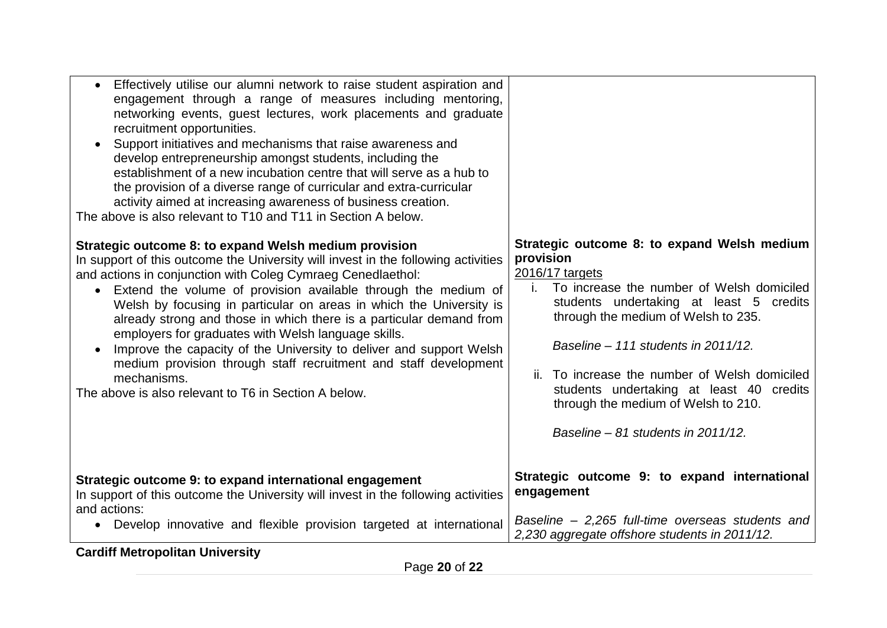| establishment of a new incubation centre that will serve as a hub to<br>the provision of a diverse range of curricular and extra-curricular<br>activity aimed at increasing awareness of business creation.<br>The above is also relevant to T10 and T11 in Section A below. |                                                  |
|------------------------------------------------------------------------------------------------------------------------------------------------------------------------------------------------------------------------------------------------------------------------------|--------------------------------------------------|
| Strategic outcome 8: to expand Welsh medium provision                                                                                                                                                                                                                        | Strategic outcome 8: to expand Welsh medium      |
| In support of this outcome the University will invest in the following activities                                                                                                                                                                                            | provision                                        |
| and actions in conjunction with Coleg Cymraeg Cenedlaethol:                                                                                                                                                                                                                  | 2016/17 targets                                  |
| Extend the volume of provision available through the medium of                                                                                                                                                                                                               | To increase the number of Welsh domiciled        |
| $\bullet$                                                                                                                                                                                                                                                                    | Ĺ.                                               |
| Welsh by focusing in particular on areas in which the University is                                                                                                                                                                                                          | students undertaking at least 5 credits          |
| already strong and those in which there is a particular demand from                                                                                                                                                                                                          | through the medium of Welsh to 235.              |
| employers for graduates with Welsh language skills.                                                                                                                                                                                                                          | Baseline - 111 students in 2011/12.              |
| Improve the capacity of the University to deliver and support Welsh                                                                                                                                                                                                          | ii. To increase the number of Welsh domiciled    |
| medium provision through staff recruitment and staff development                                                                                                                                                                                                             | students undertaking at least 40 credits         |
| mechanisms.                                                                                                                                                                                                                                                                  | through the medium of Welsh to 210.              |
| The above is also relevant to T6 in Section A below.                                                                                                                                                                                                                         | Baseline – 81 students in 2011/12.               |
| Strategic outcome 9: to expand international engagement                                                                                                                                                                                                                      | Strategic outcome 9: to expand international     |
| In support of this outcome the University will invest in the following activities                                                                                                                                                                                            | engagement                                       |
| and actions:                                                                                                                                                                                                                                                                 | Baseline - 2,265 full-time overseas students and |
| • Develop innovative and flexible provision targeted at international                                                                                                                                                                                                        | 2,230 aggregate offshore students in 2011/12.    |

Page **20** of **22**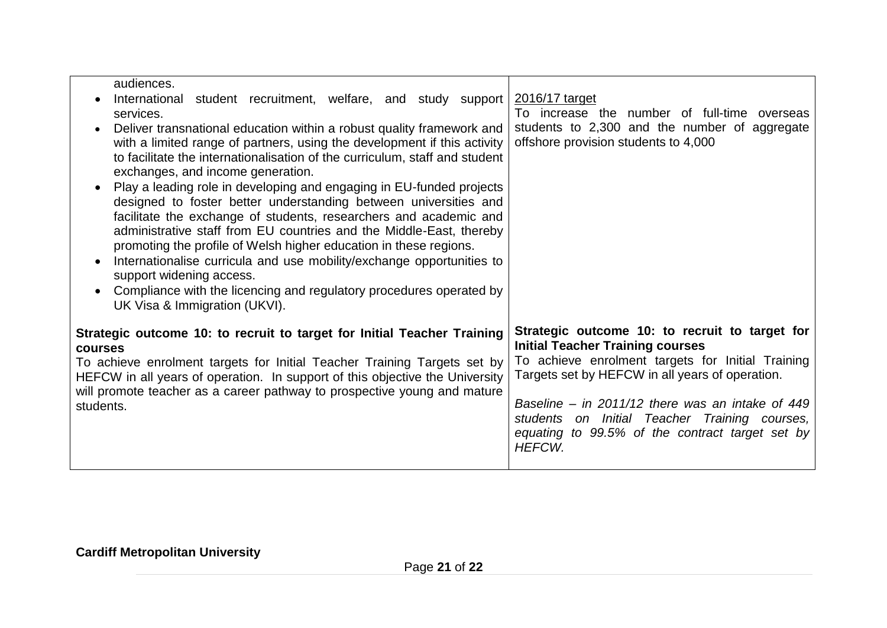| audiences.<br>International student recruitment, welfare, and study support<br>services.<br>Deliver transnational education within a robust quality framework and<br>with a limited range of partners, using the development if this activity<br>to facilitate the internationalisation of the curriculum, staff and student<br>exchanges, and income generation.<br>Play a leading role in developing and engaging in EU-funded projects                                                      | 2016/17 target<br>To increase the number of full-time overseas<br>students to 2,300 and the number of aggregate<br>offshore provision students to 4,000                                                                                                                                                                                                                      |
|------------------------------------------------------------------------------------------------------------------------------------------------------------------------------------------------------------------------------------------------------------------------------------------------------------------------------------------------------------------------------------------------------------------------------------------------------------------------------------------------|------------------------------------------------------------------------------------------------------------------------------------------------------------------------------------------------------------------------------------------------------------------------------------------------------------------------------------------------------------------------------|
| designed to foster better understanding between universities and<br>facilitate the exchange of students, researchers and academic and<br>administrative staff from EU countries and the Middle-East, thereby<br>promoting the profile of Welsh higher education in these regions.<br>Internationalise curricula and use mobility/exchange opportunities to<br>support widening access.<br>Compliance with the licencing and regulatory procedures operated by<br>UK Visa & Immigration (UKVI). |                                                                                                                                                                                                                                                                                                                                                                              |
| Strategic outcome 10: to recruit to target for Initial Teacher Training<br><b>courses</b><br>To achieve enrolment targets for Initial Teacher Training Targets set by<br>HEFCW in all years of operation. In support of this objective the University<br>will promote teacher as a career pathway to prospective young and mature<br>students.                                                                                                                                                 | Strategic outcome 10: to recruit to target for<br><b>Initial Teacher Training courses</b><br>To achieve enrolment targets for Initial Training<br>Targets set by HEFCW in all years of operation.<br>Baseline – in $2011/12$ there was an intake of 449<br>students on Initial Teacher Training courses,<br>equating to 99.5% of the contract target set by<br><b>HEFCW.</b> |